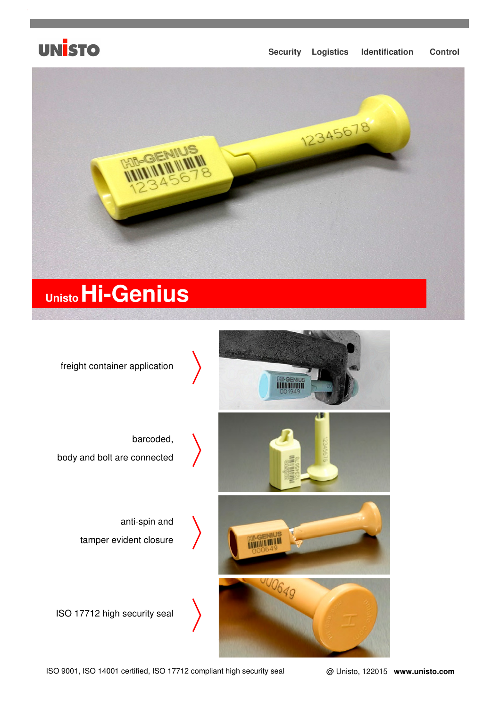

#### **Security Logistics Identification Control**





ISO 9001, ISO 14001 certified, ISO 17712 compliant high security seal @ Unisto, 122015 **www.unisto.com**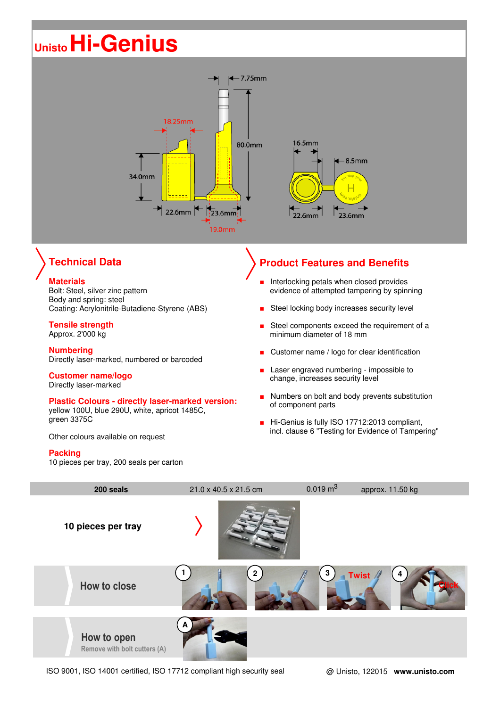# **UnistoHi-Genius**



## **Technical Data**

#### **Materials**

Bolt: Steel, silver zinc pattern Body and spring: steel Coating: Acrylonitrile-Butadiene-Styrene (ABS)

#### **Tensile strength**

Approx. 2'000 kg

**Numbering** Directly laser-marked, numbered or barcoded

#### **Customer name/logo**

Directly laser-marked

#### **Plastic Colours - directly laser-marked version:**

yellow 100U, blue 290U, white, apricot 1485C, green 3375C

Other colours available on request

#### **Packing**

10 pieces per tray, 200 seals per carton

## **Product Features and Benefits**

- Interlocking petals when closed provides evidence of attempted tampering by spinning
- Steel locking body increases security level
- Steel components exceed the requirement of a minimum diameter of 18 mm
- Customer name / logo for clear identification
- Laser engraved numbering impossible to change, increases security level
- Numbers on bolt and body prevents substitution of component parts
- Hi-Genius is fully ISO 17712:2013 compliant, incl. clause 6 "Testing for Evidence of Tampering"



ISO 9001, ISO 14001 certified, ISO 17712 compliant high security seal @ Unisto, 122015 **www.unisto.com**